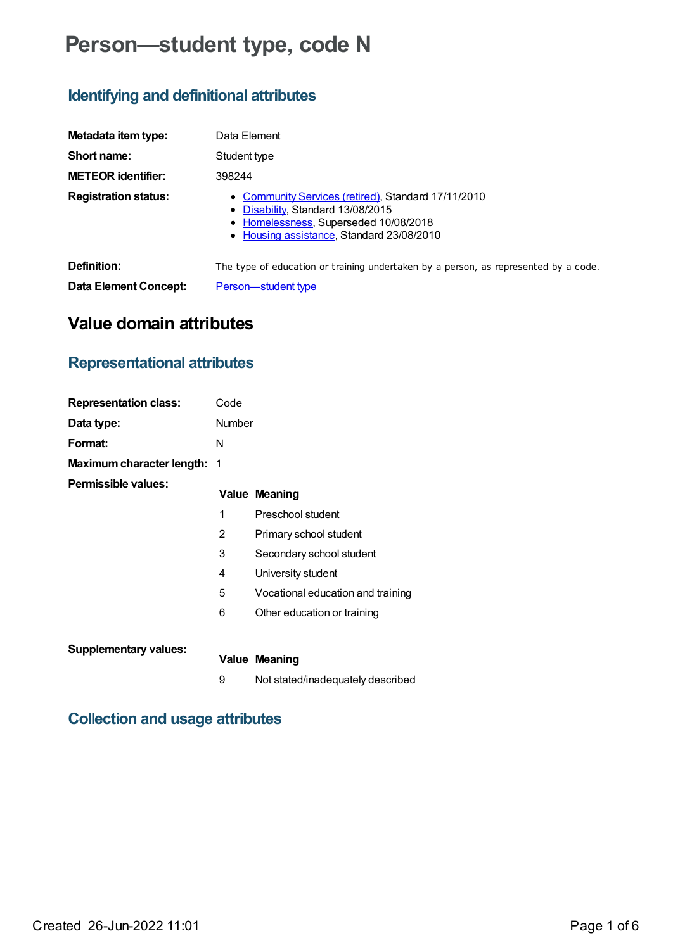# **Person—student type, code N**

## **Identifying and definitional attributes**

| Metadata item type:          | Data Element                                                                                                                                                                   |
|------------------------------|--------------------------------------------------------------------------------------------------------------------------------------------------------------------------------|
| Short name:                  | Student type                                                                                                                                                                   |
| <b>METEOR identifier:</b>    | 398244                                                                                                                                                                         |
| <b>Registration status:</b>  | • Community Services (retired), Standard 17/11/2010<br>• Disability, Standard 13/08/2015<br>• Homelessness, Superseded 10/08/2018<br>• Housing assistance, Standard 23/08/2010 |
| Definition:                  | The type of education or training undertaken by a person, as represented by a code.                                                                                            |
| <b>Data Element Concept:</b> | Person-student type                                                                                                                                                            |

### **Value domain attributes**

### **Representational attributes**

| <b>Representation class:</b>       | Code          |                                   |
|------------------------------------|---------------|-----------------------------------|
| Data type:                         | <b>Number</b> |                                   |
| Format:                            | N             |                                   |
| <b>Maximum character length: 1</b> |               |                                   |
| Permissible values:                |               | <b>Value Meaning</b>              |
|                                    | 1             | Preschool student                 |
|                                    | 2             | Primary school student            |
|                                    | 3             | Secondary school student          |
|                                    | 4             | University student                |
|                                    | 5             | Vocational education and training |
|                                    | 6             | Other education or training       |
|                                    |               |                                   |
| <b>Supplementary values:</b>       |               | <b>Value Meaning</b>              |
|                                    | 9             | Not stated/inadequately described |

### **Collection and usage attributes**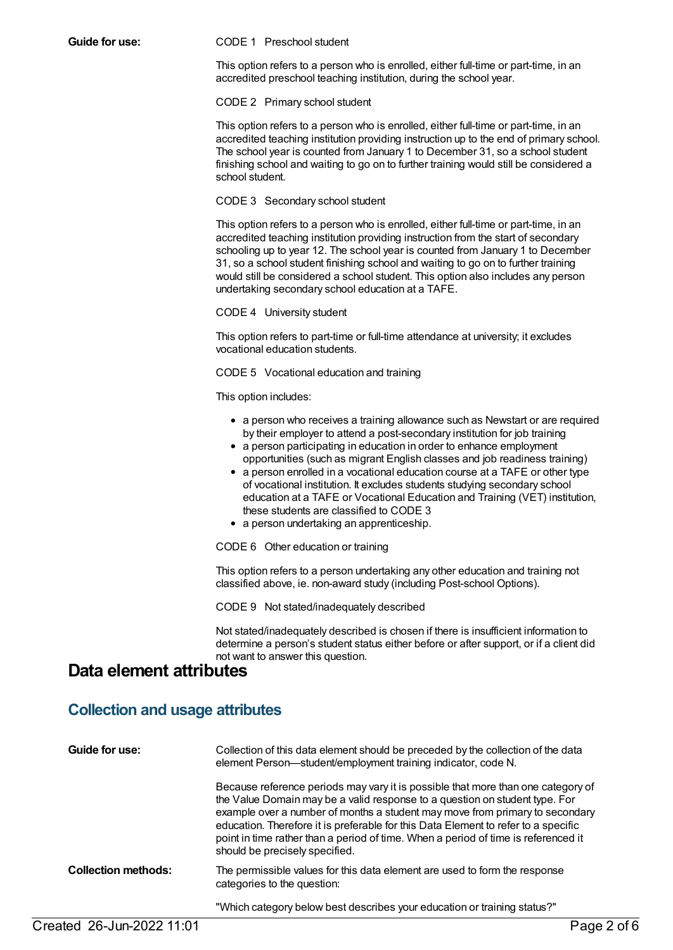#### **Guide for use:** CODE 1 Preschool student

This option refers to a person who is enrolled, either full-time or part-time, in an accredited preschool teaching institution, during the school year.

CODE 2 Primary school student

This option refers to a person who is enrolled, either full-time or part-time, in an accredited teaching institution providing instruction up to the end of primary school. The school year is counted from January 1 to December 31, so a school student finishing school and waiting to go on to further training would still be considered a school student.

### CODE 3 Secondary school student

This option refers to a person who is enrolled, either full-time or part-time, in an accredited teaching institution providing instruction from the start of secondary schooling up to year 12. The school year is counted from January 1 to December 31, so a school student finishing school and waiting to go on to further training would still be considered a school student. This option also includes any person undertaking secondary school education at a TAFE.

CODE 4 University student

This option refers to part-time or full-time attendance at university; it excludes vocational education students.

CODE 5 Vocational education and training

This option includes:

- a person who receives a training allowance such as Newstart or are required by their employer to attend a post-secondary institution for job training
- a person participating in education in order to enhance employment opportunities (such as migrant English classes and job readiness training)
- a person enrolled in a vocational education course at a TAFE or other type of vocational institution. It excludes students studying secondary school education at a TAFE or Vocational Education and Training (VET) institution, these students are classified to CODE 3
- a person undertaking an apprenticeship.

CODE 6 Other education or training

This option refers to a person undertaking any other education and training not classified above, ie. non-award study (including Post-school Options).

CODE 9 Not stated/inadequately described

Not stated/inadequately described is chosen if there is insufficient information to determine a person's student status either before or after support, or if a client did not want to answer this question.

### **Data element attributes**

### **Collection and usage attributes**

| Guide for use:             | Collection of this data element should be preceded by the collection of the data<br>element Person-student/employment training indicator, code N.                                                                                                                                                                                                                                                                                                             |
|----------------------------|---------------------------------------------------------------------------------------------------------------------------------------------------------------------------------------------------------------------------------------------------------------------------------------------------------------------------------------------------------------------------------------------------------------------------------------------------------------|
|                            | Because reference periods may vary it is possible that more than one category of<br>the Value Domain may be a valid response to a question on student type. For<br>example over a number of months a student may move from primary to secondary<br>education. Therefore it is preferable for this Data Element to refer to a specific<br>point in time rather than a period of time. When a period of time is referenced it<br>should be precisely specified. |
| <b>Collection methods:</b> | The permissible values for this data element are used to form the response<br>categories to the question:                                                                                                                                                                                                                                                                                                                                                     |
|                            | "Which category below best describes your education or training status?"                                                                                                                                                                                                                                                                                                                                                                                      |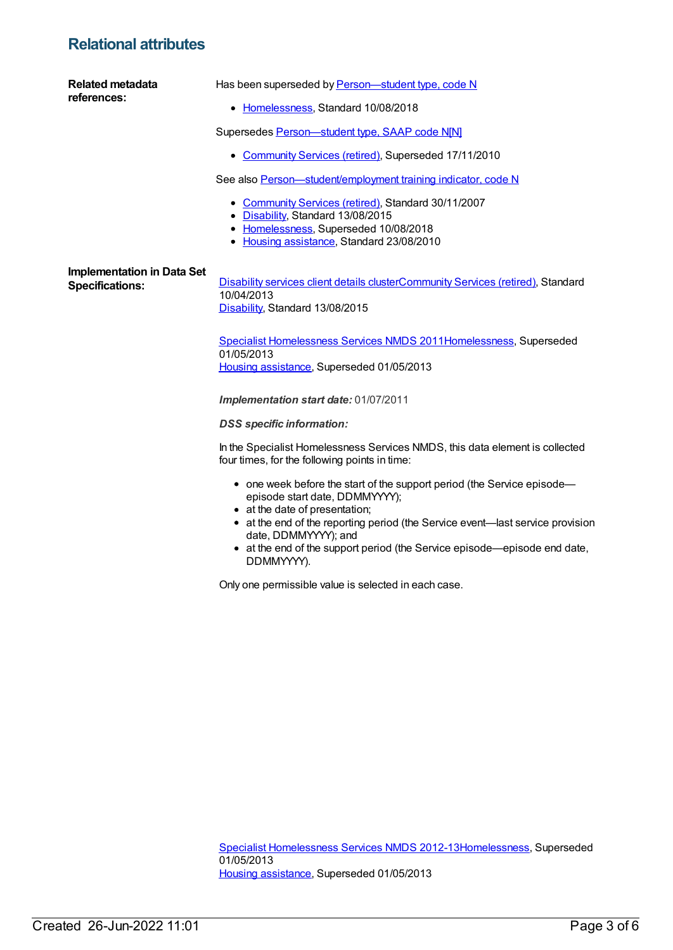### **Relational attributes**

| <b>Related metadata</b><br>references:                      | Has been superseded by Person-student type, code N                                                                                                                                                                                                                                                                                               |
|-------------------------------------------------------------|--------------------------------------------------------------------------------------------------------------------------------------------------------------------------------------------------------------------------------------------------------------------------------------------------------------------------------------------------|
|                                                             | • Homelessness, Standard 10/08/2018                                                                                                                                                                                                                                                                                                              |
|                                                             | Supersedes Person-student type, SAAP code N[N]                                                                                                                                                                                                                                                                                                   |
|                                                             | • Community Services (retired), Superseded 17/11/2010                                                                                                                                                                                                                                                                                            |
|                                                             | See also Person-student/employment training indicator, code N                                                                                                                                                                                                                                                                                    |
|                                                             | • Community Services (retired), Standard 30/11/2007<br>• Disability, Standard 13/08/2015<br>• Homelessness, Superseded 10/08/2018<br>• Housing assistance, Standard 23/08/2010                                                                                                                                                                   |
| <b>Implementation in Data Set</b><br><b>Specifications:</b> | <b>Disability services client details clusterCommunity Services (retired), Standard</b><br>10/04/2013<br>Disability, Standard 13/08/2015                                                                                                                                                                                                         |
|                                                             | Specialist Homelessness Services NMDS 2011Homelessness, Superseded<br>01/05/2013<br>Housing assistance, Superseded 01/05/2013                                                                                                                                                                                                                    |
|                                                             | Implementation start date: 01/07/2011                                                                                                                                                                                                                                                                                                            |
|                                                             | <b>DSS</b> specific information:                                                                                                                                                                                                                                                                                                                 |
|                                                             | In the Specialist Homelessness Services NMDS, this data element is collected<br>four times, for the following points in time:                                                                                                                                                                                                                    |
|                                                             | • one week before the start of the support period (the Service episode-<br>episode start date, DDMMYYYY);<br>• at the date of presentation;<br>• at the end of the reporting period (the Service event—last service provision<br>date, DDMMYYYY); and<br>• at the end of the support period (the Service episode—episode end date,<br>DDMMYYYY). |
|                                                             | Only one permissible value is selected in each case.                                                                                                                                                                                                                                                                                             |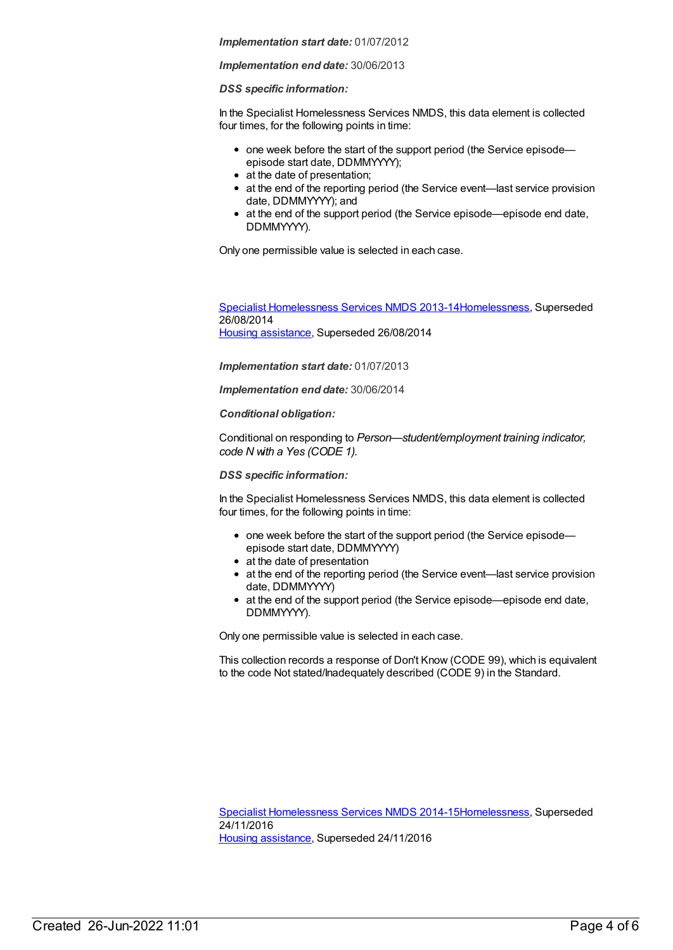#### *Implementation start date:* 01/07/2012

#### *Implementation end date:* 30/06/2013

#### *DSS specific information:*

In the Specialist Homelessness Services NMDS, this data element is collected four times, for the following points in time:

- one week before the start of the support period (the Service episodeepisode start date, DDMMYYYY);
- at the date of presentation;
- at the end of the reporting period (the Service event—last service provision date, DDMMYYYY); and
- at the end of the support period (the Service episode—episode end date, DDMMYYYY).

Only one permissible value is selected in each case.

Specialist [Homelessness](https://meteor.aihw.gov.au/content/505626) Services NMDS 2013-1[4Homelessness](https://meteor.aihw.gov.au/RegistrationAuthority/14), Superseded 26/08/2014 Housing [assistance](https://meteor.aihw.gov.au/RegistrationAuthority/11), Superseded 26/08/2014

*Implementation start date:* 01/07/2013

*Implementation end date:* 30/06/2014

*Conditional obligation:*

Conditional on responding to *Person—student/employment training indicator, code N with a Yes (CODE 1).*

*DSS specific information:*

In the Specialist Homelessness Services NMDS, this data element is collected four times, for the following points in time:

- one week before the start of the support period (the Service episodeepisode start date, DDMMYYYY)
- at the date of presentation
- at the end of the reporting period (the Service event—last service provision date, DDMMYYYY)
- at the end of the support period (the Service episode—episode end date, DDMMYYYY).

Only one permissible value is selected in each case.

This collection records a response of Don't Know (CODE 99), which is equivalent to the code Not stated/Inadequately described (CODE 9) in the Standard.

Specialist [Homelessness](https://meteor.aihw.gov.au/content/581255) Services NMDS 2014-1[5Homelessness](https://meteor.aihw.gov.au/RegistrationAuthority/14), Superseded 24/11/2016 Housing [assistance](https://meteor.aihw.gov.au/RegistrationAuthority/11), Superseded 24/11/2016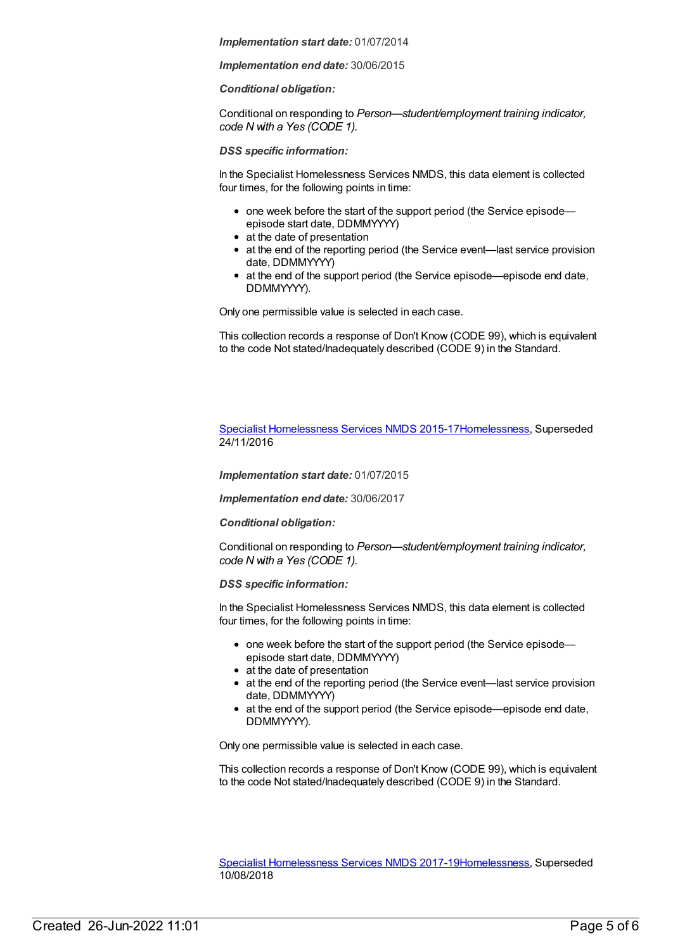*Implementation start date:* 01/07/2014

*Implementation end date:* 30/06/2015

*Conditional obligation:*

Conditional on responding to *Person—student/employment training indicator, code N with a Yes (CODE 1).*

*DSS specific information:*

In the Specialist Homelessness Services NMDS, this data element is collected four times, for the following points in time:

- one week before the start of the support period (the Service episodeepisode start date, DDMMYYYY)
- at the date of presentation
- at the end of the reporting period (the Service event—last service provision date, DDMMYYYY)
- at the end of the support period (the Service episode—episode end date, DDMMYYYY).

Only one permissible value is selected in each case.

This collection records a response of Don't Know (CODE 99), which is equivalent to the code Not stated/Inadequately described (CODE 9) in the Standard.

Specialist [Homelessness](https://meteor.aihw.gov.au/content/658005) Services NMDS 2015-1[7Homelessness](https://meteor.aihw.gov.au/RegistrationAuthority/14), Superseded 24/11/2016

*Implementation start date:* 01/07/2015

*Implementation end date:* 30/06/2017

*Conditional obligation:*

Conditional on responding to *Person—student/employment training indicator, code N with a Yes (CODE 1).*

*DSS specific information:*

In the Specialist Homelessness Services NMDS, this data element is collected four times, for the following points in time:

- one week before the start of the support period (the Service episode episode start date, DDMMYYYY)
- at the date of presentation
- at the end of the reporting period (the Service event—last service provision date, DDMMYYYY)
- at the end of the support period (the Service episode—episode end date, DDMMYYYY).

Only one permissible value is selected in each case.

This collection records a response of Don't Know (CODE 99), which is equivalent to the code Not stated/Inadequately described (CODE 9) in the Standard.

Specialist [Homelessness](https://meteor.aihw.gov.au/content/650006) Services NMDS 2017-1[9Homelessness](https://meteor.aihw.gov.au/RegistrationAuthority/14), Superseded 10/08/2018